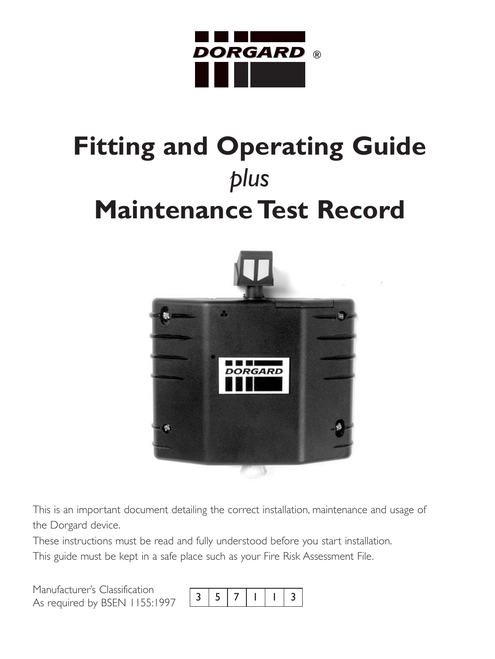

# **Fitting and Operating Guide** *plus* **Maintenance Test Record**



This is an important document detailing the correct installation, maintenance and usage of the Dorgard device.

These instructions must be read and fully understood before you start installation.

This guide must be kept in a safe place such as your Fire Risk Assessment File.

Manufacturer's Classification As required by BSEN 1155:1997 <sup>3571</sup> 1 3

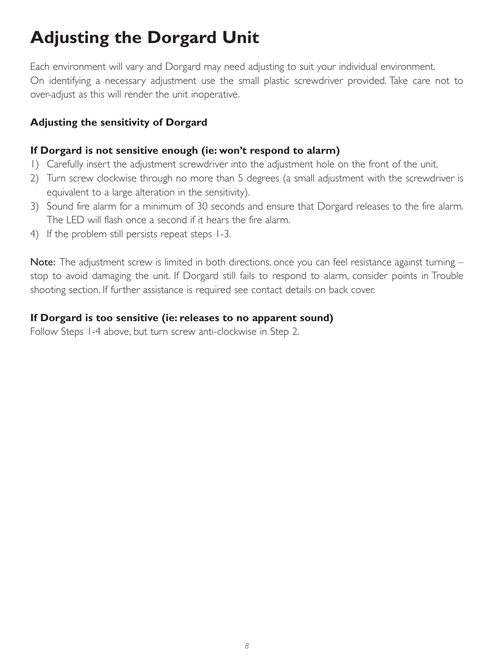# **Adjusting the Dorgard Unit**

Each environment will vary and Dorgard may need adjusting to suit your individual environment. On identifying a necessary adjustment use the small plastic screwdriver provided. Take care not to over-adjust as this will render the unit inoperative.

#### **Adjusting the sensitivity of Dorgard**

#### **If Dorgard is not sensitive enough (ie: won't respond to alarm)**

- 1) Carefully insert the adjustment screwdriver into the adjustment hole on the front of the unit.
- 2) Turn screw clockwise through no more than 5 degrees (a small adjustment with the screwdriver is equivalent to a large alteration in the sensitivity).
- 3) Sound fire alarm for a minimum of 30 seconds and ensure that Dorgard releases to the fire alarm. The LED will flash once a second if it hears the fire alarm.
- 4) If the problem still persists repeat steps 1-3.

Note: The adjustment screw is limited in both directions, once you can feel resistance against turning stop to avoid damaging the unit. If Dorgard still fails to respond to alarm, consider points in Trouble shooting section. If further assistance is required see contact details on back cover.

#### **If Dorgard is too sensitive (ie: releases to no apparent sound)**

Follow Steps 1-4 above, but turn screw anti-clockwise in Step 2.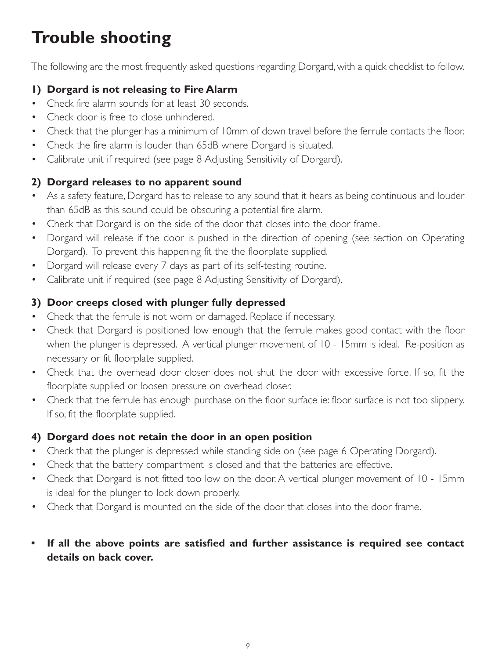# **Trouble shooting**

The following are the most frequently asked questions regarding Dorgard, with a quick checklist to follow.

#### **1) Dorgard is not releasing to Fire Alarm**

- Check fire alarm sounds for at least 30 seconds.
- Check door is free to close unhindered.
- Check that the plunger has a minimum of 10mm of down travel before the ferrule contacts the floor.
- Check the fire alarm is louder than 65dB where Dorgard is situated.
- Calibrate unit if required (see page 8 Adjusting Sensitivity of Dorgard).

#### **2) Dorgard releases to no apparent sound**

- As a safety feature, Dorgard has to release to any sound that it hears as being continuous and louder than 65dB as this sound could be obscuring a potential fire alarm.
- Check that Dorgard is on the side of the door that closes into the door frame.
- Dorgard will release if the door is pushed in the direction of opening (see section on Operating Dorgard). To prevent this happening fit the the floorplate supplied.
- Dorgard will release every 7 days as part of its self-testing routine.
- Calibrate unit if required (see page 8 Adjusting Sensitivity of Dorgard).

#### **3) Door creeps closed with plunger fully depressed**

- Check that the ferrule is not worn or damaged. Replace if necessary.
- Check that Dorgard is positioned low enough that the ferrule makes good contact with the floor when the plunger is depressed. A vertical plunger movement of 10 - 15mm is ideal. Re-position as necessary or fit floorplate supplied.
- Check that the overhead door closer does not shut the door with excessive force. If so, fit the floorplate supplied or loosen pressure on overhead closer.
- Check that the ferrule has enough purchase on the floor surface ie: floor surface is not too slippery. If so, fit the floorplate supplied.

#### **4) Dorgard does not retain the door in an open position**

- Check that the plunger is depressed while standing side on (see page 6 Operating Dorgard).
- Check that the battery compartment is closed and that the batteries are effective.
- Check that Dorgard is not fitted too low on the door. A vertical plunger movement of 10 15mm is ideal for the plunger to lock down properly.
- Check that Dorgard is mounted on the side of the door that closes into the door frame.
- **• If all the above points are satisfied and further assistance is required see contact details on back cover.**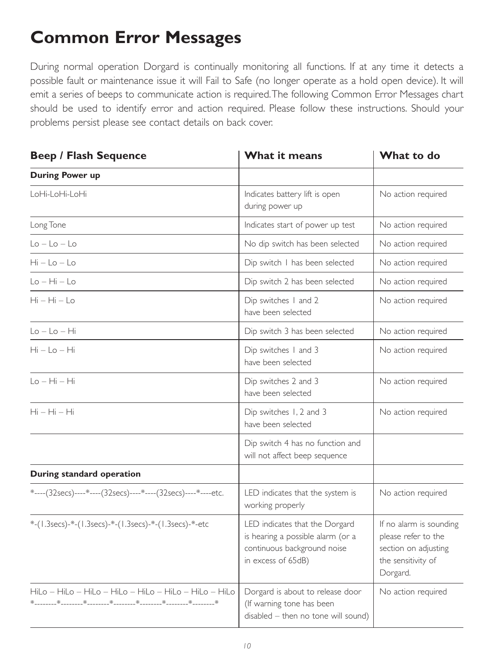### **Common Error Messages**

During normal operation Dorgard is continually monitoring all functions. If at any time it detects a possible fault or maintenance issue it will Fail to Safe (no longer operate as a hold open device). It will emit a series of beeps to communicate action is required.The following Common Error Messages chart should be used to identify error and action required. Please follow these instructions. Should your problems persist please see contact details on back cover.

| <b>Beep / Flash Sequence</b>                                 | What it means                                                                                                            | What to do                                                                                               |  |
|--------------------------------------------------------------|--------------------------------------------------------------------------------------------------------------------------|----------------------------------------------------------------------------------------------------------|--|
| <b>During Power up</b>                                       |                                                                                                                          |                                                                                                          |  |
| LoHi-LoHi-LoHi                                               | Indicates battery lift is open<br>during power up                                                                        | No action required                                                                                       |  |
| Long Tone                                                    | Indicates start of power up test                                                                                         | No action required                                                                                       |  |
| $Lo - Lo - Lo$                                               | No dip switch has been selected                                                                                          | No action required                                                                                       |  |
| Hi – Lo – Lo                                                 | Dip switch I has been selected                                                                                           | No action required                                                                                       |  |
| Lo – Hi – Lo                                                 | Dip switch 2 has been selected                                                                                           | No action required                                                                                       |  |
| $Hi - Hi - Lo$                                               | Dip switches I and 2<br>have been selected                                                                               | No action required                                                                                       |  |
| $Lo - Lo - Hi$                                               | Dip switch 3 has been selected                                                                                           | No action required                                                                                       |  |
| $Hi - Lo - Hi$                                               | Dip switches I and 3<br>have been selected                                                                               | No action required                                                                                       |  |
| $Lo - Hi - Hi$                                               | Dip switches 2 and 3<br>have been selected                                                                               | No action required                                                                                       |  |
| $Hi - Hi - Hi$                                               | Dip switches 1, 2 and 3<br>have been selected                                                                            | No action required                                                                                       |  |
|                                                              | Dip switch 4 has no function and<br>will not affect beep sequence                                                        |                                                                                                          |  |
| During standard operation                                    |                                                                                                                          |                                                                                                          |  |
| *----(32secs)----*----(32secs)----*----(32secs)----*----etc. | LED indicates that the system is<br>working properly                                                                     | No action required                                                                                       |  |
| *-(1.3secs)-*-(1.3secs)-*-(1.3secs)-*-(1.3secs)-*-etc        | LED indicates that the Dorgard<br>is hearing a possible alarm (or a<br>continuous background noise<br>in excess of 65dB) | If no alarm is sounding<br>please refer to the<br>section on adjusting<br>the sensitivity of<br>Dorgard. |  |
| HiLo - HiLo - HiLo - HiLo - HiLo - HiLo - HiLo - HiLo        | Dorgard is about to release door<br>(If warning tone has been<br>disabled – then no tone will sound)                     | No action required                                                                                       |  |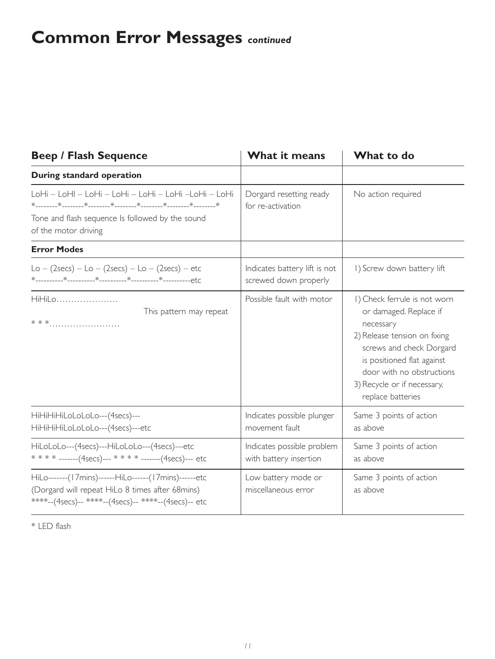# **Common Error Messages** *continued*

| <b>Beep / Flash Sequence</b>                                                                                                                                    | What it means                                                                       | What to do                                                                                                                                                                                                                                     |  |
|-----------------------------------------------------------------------------------------------------------------------------------------------------------------|-------------------------------------------------------------------------------------|------------------------------------------------------------------------------------------------------------------------------------------------------------------------------------------------------------------------------------------------|--|
| During standard operation                                                                                                                                       |                                                                                     |                                                                                                                                                                                                                                                |  |
| LoHi – LoHI – LoHi – LoHi – LoHi – LoHi –LoHi – LoHi<br>Tone and flash sequence Is followed by the sound<br>of the motor driving                                | Dorgard resetting ready<br>for re-activation                                        | No action required                                                                                                                                                                                                                             |  |
| <b>Error Modes</b>                                                                                                                                              |                                                                                     |                                                                                                                                                                                                                                                |  |
| $Lo - (2secs) - Lo - (2secs) - Lo - (2secs) - etc$                                                                                                              | Indicates battery lift is not<br>screwed down properly                              | I) Screw down battery lift                                                                                                                                                                                                                     |  |
| HiHil o<br>This pattern may repeat                                                                                                                              | Possible fault with motor                                                           | I) Check ferrule is not worn<br>or damaged. Replace if<br>necessary<br>2) Release tension on fixing<br>screws and check Dorgard<br>is positioned flat against<br>door with no obstructions<br>3) Recycle or if necessary,<br>replace batteries |  |
| HiHiHiHiLoLoLoLo---(4secs)---<br>HiHiHiHiLoLoLoLo---(4secs)---etc                                                                                               | Indicates possible plunger<br>Same 3 points of action<br>movement fault<br>as above |                                                                                                                                                                                                                                                |  |
| HiLoLoLo---(4secs)---HiLoLoLo---(4secs)---etc<br>* * * * -------(4secs)--- * * * * -------(4secs)--- etc                                                        | Indicates possible problem<br>with battery insertion                                | Same 3 points of action<br>as above                                                                                                                                                                                                            |  |
| HiLo-------(17mins)------HiLo------(17mins)------etc<br>(Dorgard will repeat HiLo 8 times after 68mins)<br>****--(4secs)-- ****--(4secs)-- *****--(4secs)-- etc | Low battery mode or<br>miscellaneous error                                          | Same 3 points of action<br>as above                                                                                                                                                                                                            |  |

\* LED flash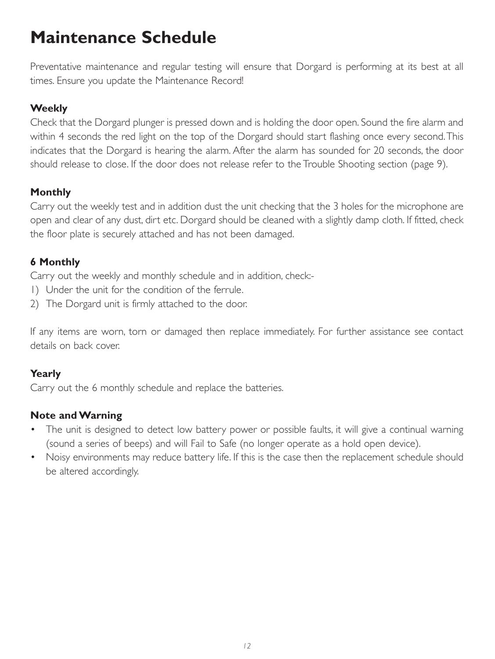# **Maintenance Schedule**

Preventative maintenance and regular testing will ensure that Dorgard is performing at its best at all times. Ensure you update the Maintenance Record!

#### **Weekly**

Check that the Dorgard plunger is pressed down and is holding the door open. Sound the fire alarm and within 4 seconds the red light on the top of the Dorgard should start flashing once every second.This indicates that the Dorgard is hearing the alarm. After the alarm has sounded for 20 seconds, the door should release to close. If the door does not release refer to the Trouble Shooting section (page 9).

#### **Monthly**

Carry out the weekly test and in addition dust the unit checking that the 3 holes for the microphone are open and clear of any dust, dirt etc. Dorgard should be cleaned with a slightly damp cloth. If fitted, check the floor plate is securely attached and has not been damaged.

#### **6 Monthly**

Carry out the weekly and monthly schedule and in addition, check:-

- 1) Under the unit for the condition of the ferrule.
- 2) The Dorgard unit is firmly attached to the door.

If any items are worn, torn or damaged then replace immediately. For further assistance see contact details on back cover.

#### **Yearly**

Carry out the 6 monthly schedule and replace the batteries.

#### **Note and Warning**

- The unit is designed to detect low battery power or possible faults, it will give a continual warning (sound a series of beeps) and will Fail to Safe (no longer operate as a hold open device).
- Noisy environments may reduce battery life. If this is the case then the replacement schedule should be altered accordingly.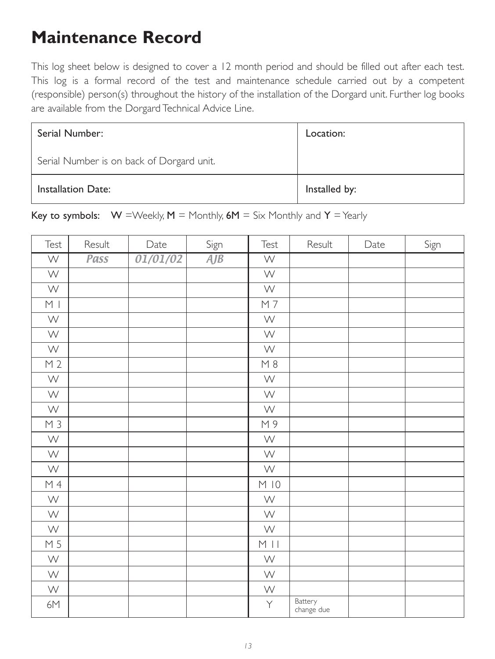### **Maintenance Record**

This log sheet below is designed to cover a 12 month period and should be filled out after each test. This log is a formal record of the test and maintenance schedule carried out by a competent (responsible) person(s) throughout the history of the installation of the Dorgard unit. Further log books are available from the Dorgard Technical Advice Line.

| Serial Number:                            | Location:     |
|-------------------------------------------|---------------|
| Serial Number is on back of Dorgard unit. |               |
| <b>Installation Date:</b>                 | Installed by: |

Key to symbols:  $W =$  Weekly, M = Monthly, 6M = Six Monthly and Y = Yearly

| Test                    | Result | Date     | Sign | Test                      | Result                | Date | Sign |
|-------------------------|--------|----------|------|---------------------------|-----------------------|------|------|
| $\overline{\mathsf{W}}$ | Pass   | 01/01/02 | AJB  | $\overline{\mathsf{W}}$   |                       |      |      |
| $\mathsf{W}$            |        |          |      | W                         |                       |      |      |
| $\mathsf{W}$            |        |          |      | $\mathsf{W}$              |                       |      |      |
| $\,$ M $\,$ l           |        |          |      | $\overline{M7}$           |                       |      |      |
| $\mathsf{W}$            |        |          |      | $\mathsf{W}$              |                       |      |      |
| $\mathsf{W}$            |        |          |      | $\boldsymbol{\mathsf{W}}$ |                       |      |      |
| $\mathsf{W}$            |        |          |      | $\mathsf{W}$              |                       |      |      |
| M <sub>2</sub>          |        |          |      | M8                        |                       |      |      |
| $\mathsf{W}$            |        |          |      | $\mathsf{W}$              |                       |      |      |
| $\mathsf{W}$            |        |          |      | W                         |                       |      |      |
| $\mathsf{W}$            |        |          |      | $\mathsf{W}$              |                       |      |      |
| M <sub>3</sub>          |        |          |      | M9                        |                       |      |      |
| $\mathsf{W}$            |        |          |      | $\mathsf{W}$              |                       |      |      |
| $\mathsf{W}$            |        |          |      | $\mathsf{W}$              |                       |      |      |
| $\mathsf{W}$            |        |          |      | $\mathsf{W}$              |                       |      |      |
| $M_4$                   |        |          |      | M10                       |                       |      |      |
| $\mathsf{W}$            |        |          |      | $\mathsf{W}$              |                       |      |      |
| $\mathsf{W}$            |        |          |      | $\mathsf{W}$              |                       |      |      |
| $\mathsf{W}$            |        |          |      | $\mathsf{W}$              |                       |      |      |
| M 5                     |        |          |      | $M$                       |                       |      |      |
| $\mathsf{W}$            |        |          |      | $\mathsf{W}$              |                       |      |      |
| $\mathsf{W}$            |        |          |      | $\mathsf{W}$              |                       |      |      |
| $\mathsf{W}$            |        |          |      | $\mathsf{W}$              |                       |      |      |
| 6M                      |        |          |      | Y                         | Battery<br>change due |      |      |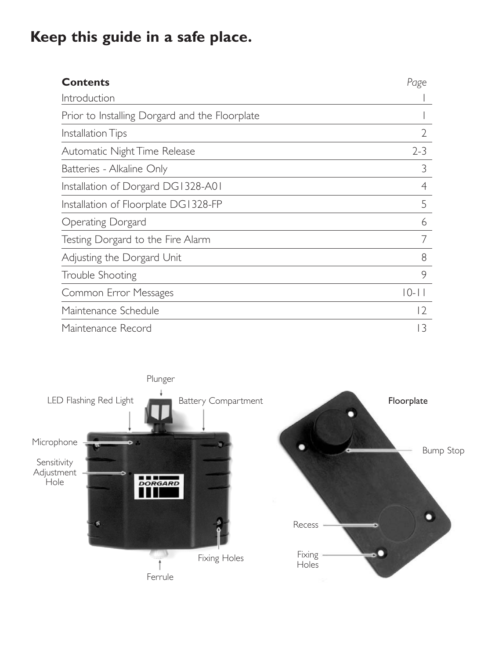### **Keep this guide in a safe place.**

| <b>Contents</b>                                | Page           |
|------------------------------------------------|----------------|
| Introduction                                   |                |
| Prior to Installing Dorgard and the Floorplate |                |
| Installation Tips                              | $\overline{2}$ |
| Automatic Night Time Release                   | $2 - 3$        |
| Batteries - Alkaline Only                      | 3              |
| Installation of Dorgard DG1328-A01             | 4              |
| Installation of Floorplate DG1328-FP           | 5              |
| Operating Dorgard                              | 6              |
| Testing Dorgard to the Fire Alarm              |                |
| Adjusting the Dorgard Unit                     | 8              |
| Trouble Shooting                               | 9              |
| Common Error Messages                          | $10 - 11$      |
| Maintenance Schedule                           | 12             |
| Maintenance Record                             | 13             |

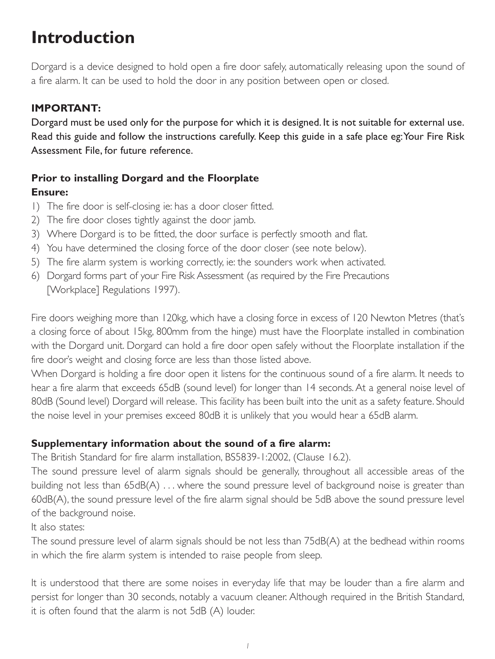### **Introduction**

Dorgard is a device designed to hold open a fire door safely, automatically releasing upon the sound of a fire alarm. It can be used to hold the door in any position between open or closed.

#### **IMPORTANT:**

Dorgard must be used only for the purpose for which it is designed. It is not suitable for external use. Read this guide and follow the instructions carefully. Keep this guide in a safe place eg:Your Fire Risk Assessment File, for future reference.

### **Prior to installing Dorgard and the Floorplate**

#### **Ensure:**

- 1) The fire door is self-closing ie: has a door closer fitted.
- 2) The fire door closes tightly against the door jamb.
- 3) Where Dorgard is to be fitted, the door surface is perfectly smooth and flat.
- 4) You have determined the closing force of the door closer (see note below).
- 5) The fire alarm system is working correctly, ie: the sounders work when activated.
- 6) Dorgard forms part of your Fire Risk Assessment (as required by the Fire Precautions [Workplace] Regulations 1997).

Fire doors weighing more than 120kg, which have a closing force in excess of 120 Newton Metres (that's a closing force of about 15kg, 800mm from the hinge) must have the Floorplate installed in combination with the Dorgard unit. Dorgard can hold a fire door open safely without the Floorplate installation if the fire door's weight and closing force are less than those listed above.

When Dorgard is holding a fire door open it listens for the continuous sound of a fire alarm. It needs to hear a fire alarm that exceeds 65dB (sound level) for longer than 14 seconds. At a general noise level of 80dB (Sound level) Dorgard will release. This facility has been built into the unit as a safety feature. Should the noise level in your premises exceed 80dB it is unlikely that you would hear a 65dB alarm.

#### **Supplementary information about the sound of a fire alarm:**

The British Standard for fire alarm installation, BS5839-1:2002, (Clause 16.2).

The sound pressure level of alarm signals should be generally, throughout all accessible areas of the building not less than 65dB(A) . . . where the sound pressure level of background noise is greater than 60dB(A), the sound pressure level of the fire alarm signal should be 5dB above the sound pressure level of the background noise.

#### It also states:

The sound pressure level of alarm signals should be not less than 75dB(A) at the bedhead within rooms in which the fire alarm system is intended to raise people from sleep.

It is understood that there are some noises in everyday life that may be louder than a fire alarm and persist for longer than 30 seconds, notably a vacuum cleaner. Although required in the British Standard, it is often found that the alarm is not 5dB (A) louder.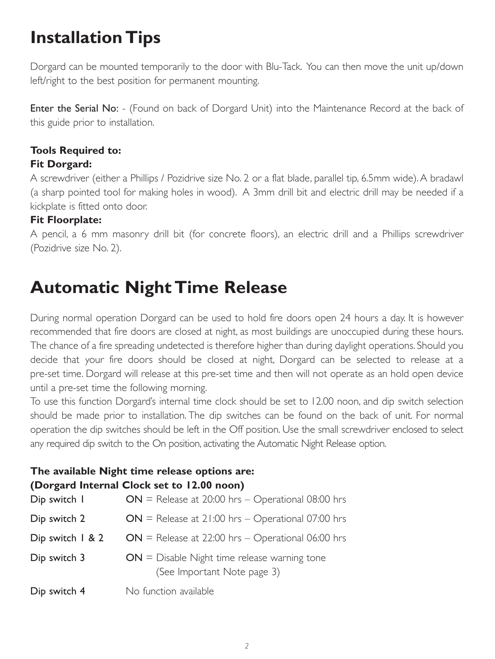### **Installation Tips**

Dorgard can be mounted temporarily to the door with Blu-Tack. You can then move the unit up/down left/right to the best position for permanent mounting.

Enter the Serial No: - (Found on back of Dorgard Unit) into the Maintenance Record at the back of this guide prior to installation.

### **Tools Required to:**

#### **Fit Dorgard:**

A screwdriver (either a Phillips / Pozidrive size No. 2 or a flat blade, parallel tip, 6.5mm wide). A bradawl (a sharp pointed tool for making holes in wood). A 3mm drill bit and electric drill may be needed if a kickplate is fitted onto door.

#### **Fit Floorplate:**

A pencil, a 6 mm masonry drill bit (for concrete floors), an electric drill and a Phillips screwdriver (Pozidrive size No. 2).

### **Automatic Night Time Release**

During normal operation Dorgard can be used to hold fire doors open 24 hours a day. It is however recommended that fire doors are closed at night, as most buildings are unoccupied during these hours. The chance of a fire spreading undetected is therefore higher than during daylight operations. Should you decide that your fire doors should be closed at night, Dorgard can be selected to release at a pre-set time. Dorgard will release at this pre-set time and then will not operate as an hold open device until a pre-set time the following morning.

To use this function Dorgard's internal time clock should be set to 12.00 noon, and dip switch selection should be made prior to installation. The dip switches can be found on the back of unit. For normal operation the dip switches should be left in the Off position. Use the small screwdriver enclosed to select any required dip switch to the On position, activating the Automatic Night Release option.

### **The available Night time release options are:**

#### **(Dorgard Internal Clock set to 12.00 noon)**

| Dip switch I     | $ON$ = Release at 20:00 hrs - Operational 08:00 hrs                           |
|------------------|-------------------------------------------------------------------------------|
| Dip switch 2     | $ON$ = Release at 21:00 hrs - Operational 07:00 hrs                           |
| Dip switch 1 & 2 | $ON$ = Release at 22:00 hrs – Operational 06:00 hrs                           |
| Dip switch 3     | $ON = Disable$ Night time release warning tone<br>(See Important Note page 3) |
| Dip switch 4     | No function available                                                         |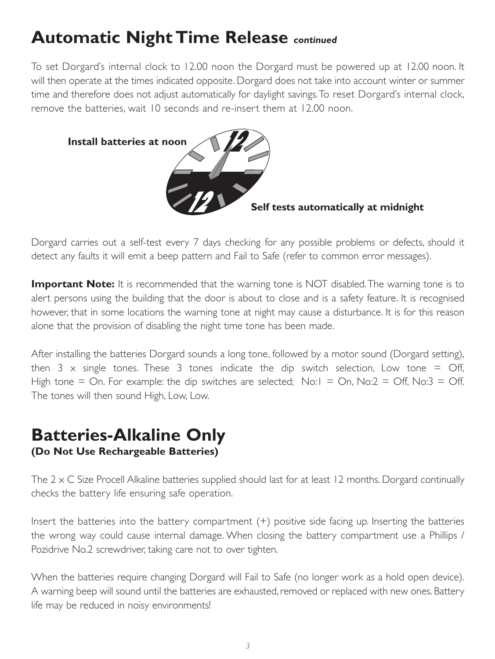### **Automatic Night Time Release** *continued*

To set Dorgard's internal clock to 12.00 noon the Dorgard must be powered up at 12.00 noon. It will then operate at the times indicated opposite. Dorgard does not take into account winter or summer time and therefore does not adjust automatically for daylight savings.To reset Dorgard's internal clock, remove the batteries, wait 10 seconds and re-insert them at 12.00 noon.



Dorgard carries out a self-test every 7 days checking for any possible problems or defects, should it detect any faults it will emit a beep pattern and Fail to Safe (refer to common error messages).

**Important Note:** It is recommended that the warning tone is NOT disabled. The warning tone is to alert persons using the building that the door is about to close and is a safety feature. It is recognised however, that in some locations the warning tone at night may cause a disturbance. It is for this reason alone that the provision of disabling the night time tone has been made.

After installing the batteries Dorgard sounds a long tone, followed by a motor sound (Dorgard setting), then  $3 \times$  single tones. These 3 tones indicate the dip switch selection, Low tone = Off, High tone = On. For example: the dip switches are selected;  $No:1 = On$ ,  $No:2 = Off$ ,  $No:3 = Off$ . The tones will then sound High, Low, Low.

### **Batteries-Alkaline Only (Do Not Use Rechargeable Batteries)**

The 2 x C Size Procell Alkaline batteries supplied should last for at least 12 months. Dorgard continually checks the battery life ensuring safe operation.

Insert the batteries into the battery compartment (+) positive side facing up. Inserting the batteries the wrong way could cause internal damage. When closing the battery compartment use a Phillips / Pozidrive No.2 screwdriver, taking care not to over tighten.

When the batteries require changing Dorgard will Fail to Safe (no longer work as a hold open device). A warning beep will sound until the batteries are exhausted, removed or replaced with new ones. Battery life may be reduced in noisy environments!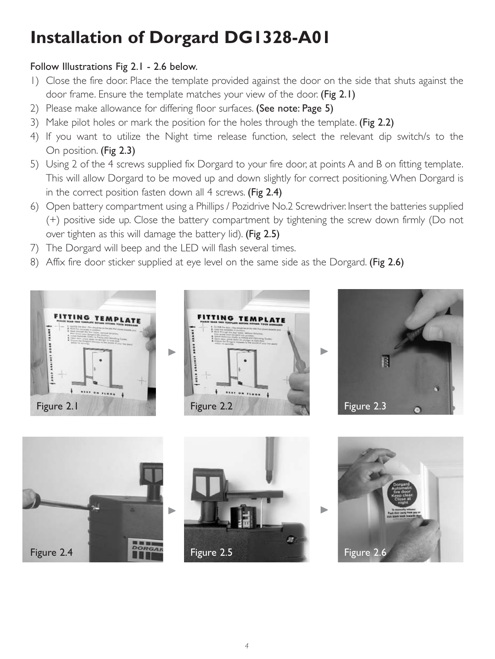# **Installation of Dorgard DG1328-A01**

#### Follow Illustrations Fig 2.1 - 2.6 below.

- 1) Close the fire door. Place the template provided against the door on the side that shuts against the door frame. Ensure the template matches your view of the door. (Fig 2.1)
- 2) Please make allowance for differing floor surfaces. (See note: Page 5)
- 3) Make pilot holes or mark the position for the holes through the template. (Fig 2.2)
- 4) If you want to utilize the Night time release function, select the relevant dip switch/s to the On position. (Fig 2.3)
- 5) Using 2 of the 4 screws supplied fix Dorgard to your fire door, at points A and B on fitting template. This will allow Dorgard to be moved up and down slightly for correct positioning.When Dorgard is in the correct position fasten down all 4 screws. (Fig 2.4)
- 6) Open battery compartment using a Phillips / Pozidrive No.2 Screwdriver. Insert the batteries supplied (+) positive side up. Close the battery compartment by tightening the screw down firmly (Do not over tighten as this will damage the battery lid). (Fig 2.5)
- 7) The Dorgard will beep and the LED will flash several times.
- 8) Affix fire door sticker supplied at eye level on the same side as the Dorgard. (Fig 2.6)



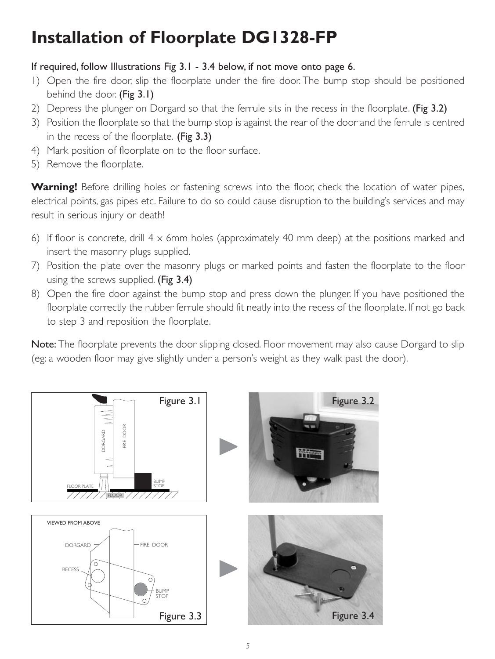# **Installation of Floorplate DG1328-FP**

#### If required, follow Illustrations Fig 3.1 - 3.4 below, if not move onto page 6.

- 1) Open the fire door, slip the floorplate under the fire door. The bump stop should be positioned behind the door. (Fig 3.1)
- 2) Depress the plunger on Dorgard so that the ferrule sits in the recess in the floorplate. (Fig 3.2)
- 3) Position the floorplate so that the bump stop is against the rear of the door and the ferrule is centred in the recess of the floorplate. (Fig 3.3)
- 4) Mark position of floorplate on to the floor surface.
- 5) Remove the floorplate.

**Warning!** Before drilling holes or fastening screws into the floor, check the location of water pipes, electrical points, gas pipes etc. Failure to do so could cause disruption to the building's services and may result in serious injury or death!

- 6) If floor is concrete, drill  $4 \times 6$ mm holes (approximately 40 mm deep) at the positions marked and insert the masonry plugs supplied.
- 7) Position the plate over the masonry plugs or marked points and fasten the floorplate to the floor using the screws supplied. (Fig 3.4)
- 8) Open the fire door against the bump stop and press down the plunger. If you have positioned the floorplate correctly the rubber ferrule should fit neatly into the recess of the floorplate. If not go back to step 3 and reposition the floorplate.

Note: The floorplate prevents the door slipping closed. Floor movement may also cause Dorgard to slip (eg: a wooden floor may give slightly under a person's weight as they walk past the door).

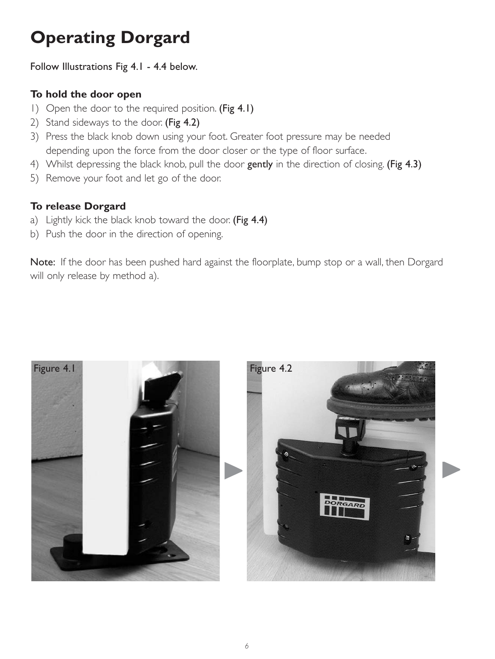### **Operating Dorgard**

Follow Illustrations Fig 4.1 - 4.4 below.

#### **To hold the door open**

- 1) Open the door to the required position. (Fig 4.1)
- 2) Stand sideways to the door. (Fig 4.2)
- 3) Press the black knob down using your foot. Greater foot pressure may be needed depending upon the force from the door closer or the type of floor surface.
- 4) Whilst depressing the black knob, pull the door gently in the direction of closing. (Fig 4.3)
- 5) Remove your foot and let go of the door.

#### **To release Dorgard**

- a) Lightly kick the black knob toward the door. (Fig 4.4)
- b) Push the door in the direction of opening.

Note: If the door has been pushed hard against the floorplate, bump stop or a wall, then Dorgard will only release by method a).

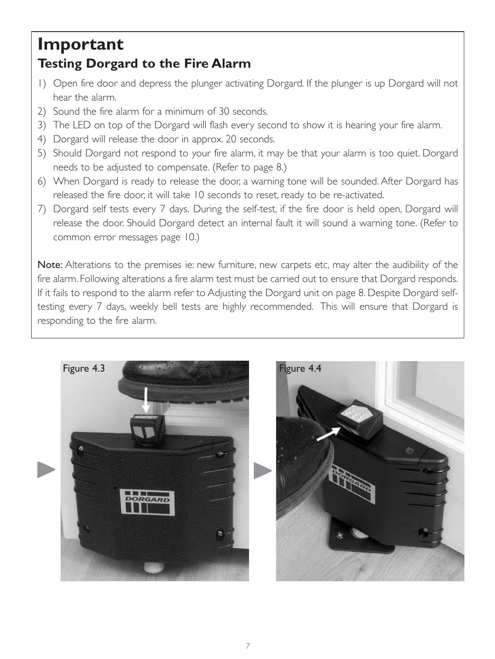### **Important Testing Dorgard to the Fire Alarm**

- 1) Open fire door and depress the plunger activating Dorgard. If the plunger is up Dorgard will not hear the alarm.
- 2) Sound the fire alarm for a minimum of 30 seconds.
- 3) The LED on top of the Dorgard will flash every second to show it is hearing your fire alarm.
- 4) Dorgard will release the door in approx. 20 seconds.
- 5) Should Dorgard not respond to your fire alarm, it may be that your alarm is too quiet. Dorgard needs to be adjusted to compensate. (Refer to page 8.)
- 6) When Dorgard is ready to release the door, a warning tone will be sounded. After Dorgard has released the fire door, it will take 10 seconds to reset, ready to be re-activated.
- 7) Dorgard self tests every 7 days. During the self-test, if the fire door is held open, Dorgard will release the door. Should Dorgard detect an internal fault it will sound a warning tone. (Refer to common error messages page 10.)

Note: Alterations to the premises ie: new furniture, new carpets etc, may alter the audibility of the fire alarm. Following alterations a fire alarm test must be carried out to ensure that Dorgard responds. If it fails to respond to the alarm refer to Adjusting the Dorgard unit on page 8. Despite Dorgard selftesting every 7 days, weekly bell tests are highly recommended. This will ensure that Dorgard is responding to the fire alarm.